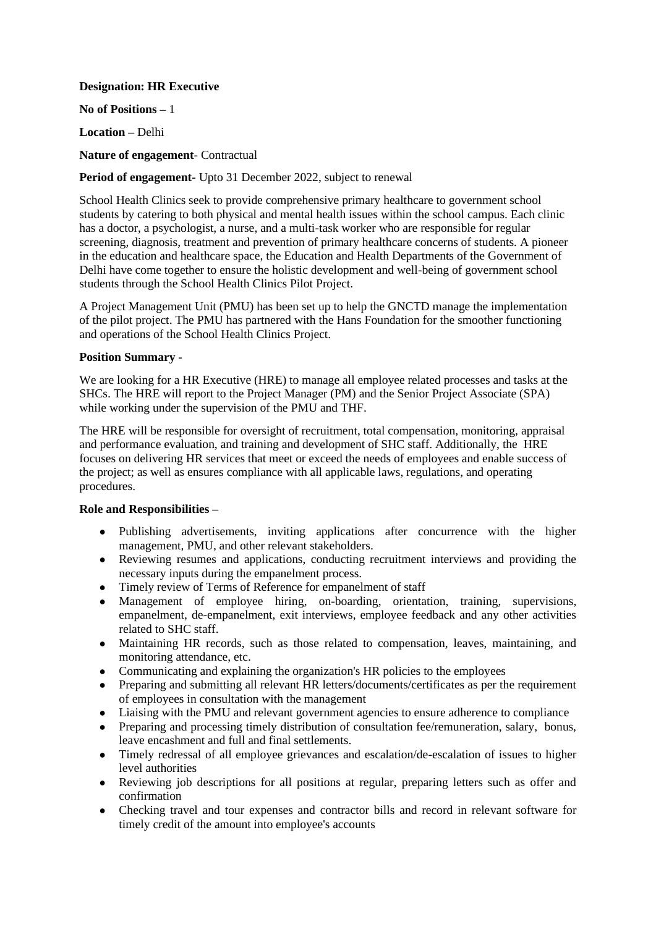## **Designation: HR Executive**

**No of Positions –** 1

**Location –** Delhi

**Nature of engagement**- Contractual

# **Period of engagement-** Upto 31 December 2022, subject to renewal

School Health Clinics seek to provide comprehensive primary healthcare to government school students by catering to both physical and mental health issues within the school campus. Each clinic has a doctor, a psychologist, a nurse, and a multi-task worker who are responsible for regular screening, diagnosis, treatment and prevention of primary healthcare concerns of students. A pioneer in the education and healthcare space, the Education and Health Departments of the Government of Delhi have come together to ensure the holistic development and well-being of government school students through the School Health Clinics Pilot Project.

A Project Management Unit (PMU) has been set up to help the GNCTD manage the implementation of the pilot project. The PMU has partnered with the Hans Foundation for the smoother functioning and operations of the School Health Clinics Project.

## **Position Summary -**

We are looking for a HR Executive (HRE) to manage all employee related processes and tasks at the SHCs. The HRE will report to the Project Manager (PM) and the Senior Project Associate (SPA) while working under the supervision of the PMU and THF.

The HRE will be responsible for oversight of recruitment, total compensation, monitoring, appraisal and performance evaluation, and training and development of SHC staff. Additionally, the HRE focuses on delivering HR services that meet or exceed the needs of employees and enable success of the project; as well as ensures compliance with all applicable laws, regulations, and operating procedures.

### **Role and Responsibilities –**

- Publishing advertisements, inviting applications after concurrence with the higher management, PMU, and other relevant stakeholders.
- Reviewing resumes and applications, conducting recruitment interviews and providing the necessary inputs during the empanelment process.
- Timely review of Terms of Reference for empanelment of staff
- Management of employee hiring, on-boarding, orientation, training, supervisions, empanelment, de-empanelment, exit interviews, employee feedback and any other activities related to SHC staff.
- Maintaining HR records, such as those related to compensation, leaves, maintaining, and monitoring attendance, etc.
- Communicating and explaining the organization's HR policies to the employees
- Preparing and submitting all relevant HR letters/documents/certificates as per the requirement of employees in consultation with the management
- Liaising with the PMU and relevant government agencies to ensure adherence to compliance
- Preparing and processing timely distribution of consultation fee/remuneration, salary, bonus, leave encashment and full and final settlements.
- Timely redressal of all employee grievances and escalation/de-escalation of issues to higher level authorities
- Reviewing job descriptions for all positions at regular, preparing letters such as offer and confirmation
- Checking travel and tour expenses and contractor bills and record in relevant software for timely credit of the amount into employee's accounts